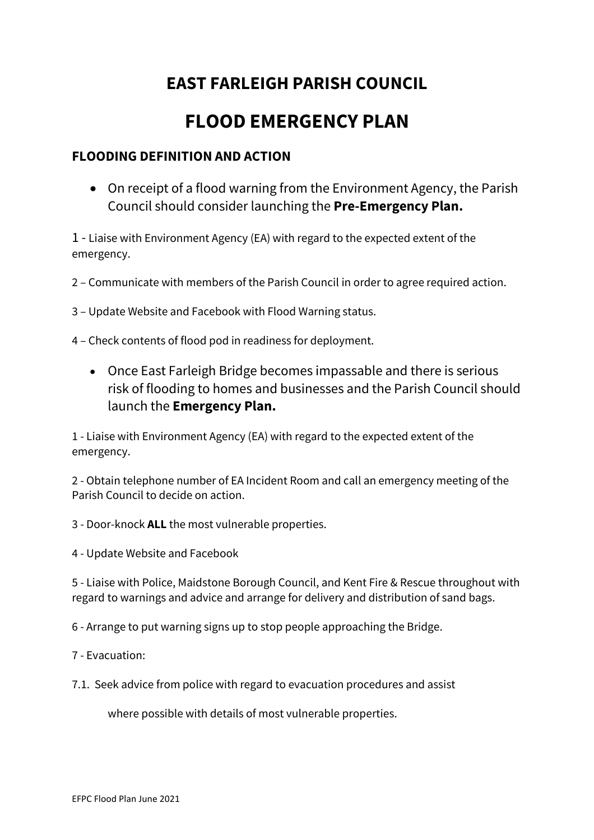# **EAST FARLEIGH PARISH COUNCIL**

# **FLOOD EMERGENCY PLAN**

### **FLOODING DEFINITION AND ACTION**

• On receipt of a flood warning from the Environment Agency, the Parish Council should consider launching the **Pre-Emergency Plan.** 

1 - Liaise with Environment Agency (EA) with regard to the expected extent of the emergency.

2 – Communicate with members of the Parish Council in order to agree required action.

3 – Update Website and Facebook with Flood Warning status.

4 – Check contents of flood pod in readiness for deployment.

• Once East Farleigh Bridge becomes impassable and there is serious risk of flooding to homes and businesses and the Parish Council should launch the **Emergency Plan.**

1 - Liaise with Environment Agency (EA) with regard to the expected extent of the emergency.

2 - Obtain telephone number of EA Incident Room and call an emergency meeting of the Parish Council to decide on action.

3 - Door-knock **ALL** the most vulnerable properties.

4 - Update Website and Facebook

5 - Liaise with Police, Maidstone Borough Council, and Kent Fire & Rescue throughout with regard to warnings and advice and arrange for delivery and distribution of sand bags.

6 - Arrange to put warning signs up to stop people approaching the Bridge.

7 - Evacuation:

7.1. Seek advice from police with regard to evacuation procedures and assist

where possible with details of most vulnerable properties.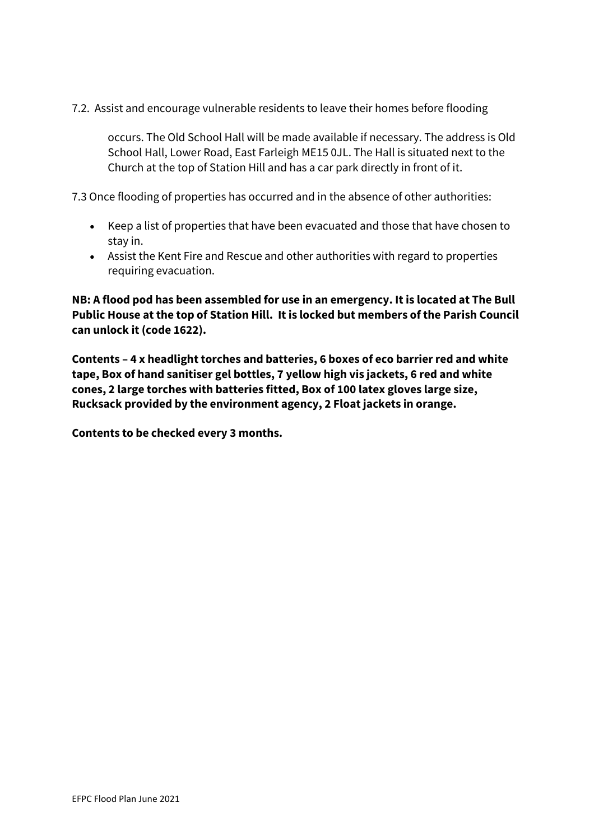7.2. Assist and encourage vulnerable residents to leave their homes before flooding

occurs. The Old School Hall will be made available if necessary. The address is Old School Hall, Lower Road, East Farleigh ME15 0JL. The Hall is situated next to the Church at the top of Station Hill and has a car park directly in front of it.

7.3 Once flooding of properties has occurred and in the absence of other authorities:

- Keep a list of properties that have been evacuated and those that have chosen to stay in.
- Assist the Kent Fire and Rescue and other authorities with regard to properties requiring evacuation.

**NB: A flood pod has been assembled for use in an emergency. It is located at The Bull Public House at the top of Station Hill. It is locked but members of the Parish Council can unlock it (code 1622).** 

**Contents – 4 x headlight torches and batteries, 6 boxes of eco barrier red and white tape, Box of hand sanitiser gel bottles, 7 yellow high vis jackets, 6 red and white cones, 2 large torches with batteries fitted, Box of 100 latex gloves large size, Rucksack provided by the environment agency, 2 Float jackets in orange.**

**Contents to be checked every 3 months.**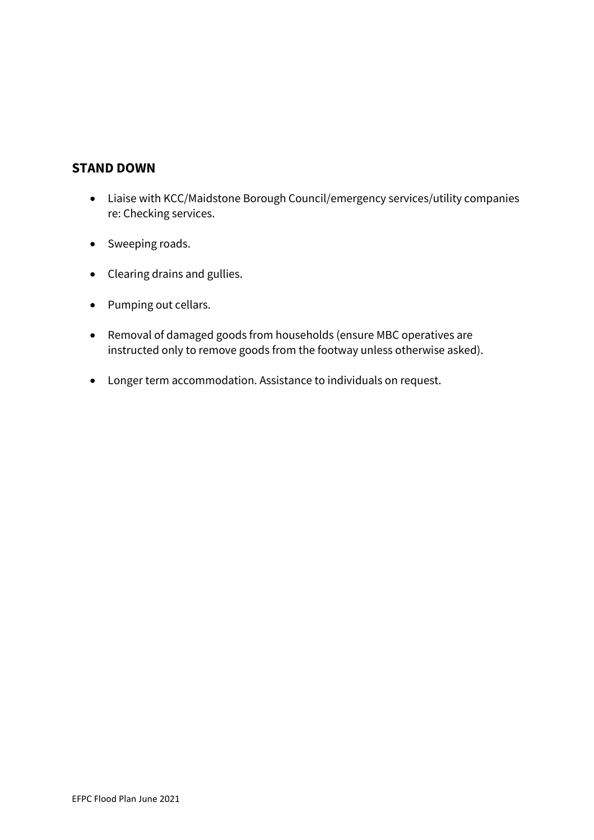### **STAND DOWN**

- Liaise with KCC/Maidstone Borough Council/emergency services/utility companies re: Checking services.
- Sweeping roads.
- Clearing drains and gullies.
- Pumping out cellars.
- Removal of damaged goods from households (ensure MBC operatives are instructed only to remove goods from the footway unless otherwise asked).
- Longer term accommodation. Assistance to individuals on request.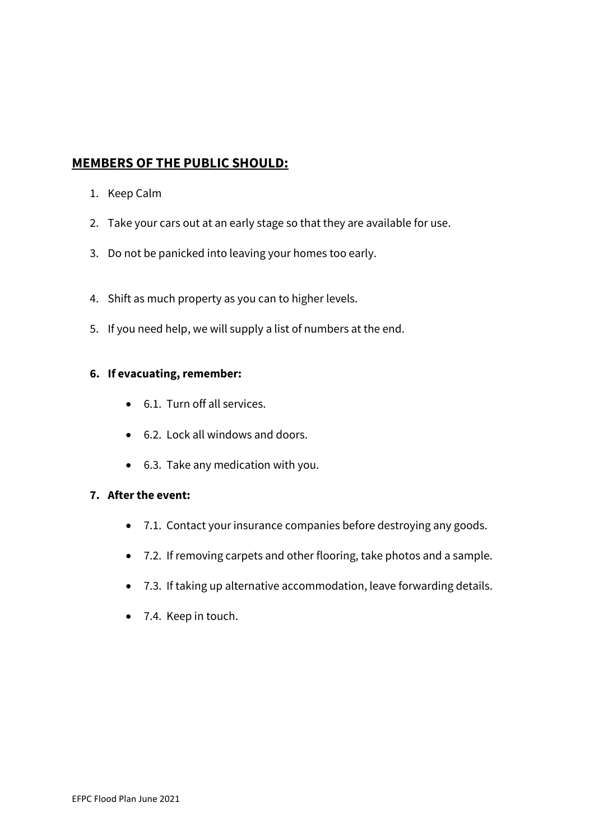## **MEMBERS OF THE PUBLIC SHOULD:**

- 1. Keep Calm
- 2. Take your cars out at an early stage so that they are available for use.
- 3. Do not be panicked into leaving your homes too early.
- 4. Shift as much property as you can to higher levels.
- 5. If you need help, we will supply a list of numbers at the end.

#### **6. If evacuating, remember:**

- 6.1. Turn off all services.
- 6.2. Lock all windows and doors.
- 6.3. Take any medication with you.

#### **7. After the event:**

- 7.1. Contact your insurance companies before destroying any goods.
- 7.2. If removing carpets and other flooring, take photos and a sample.
- 7.3. If taking up alternative accommodation, leave forwarding details.
- 7.4. Keep in touch.